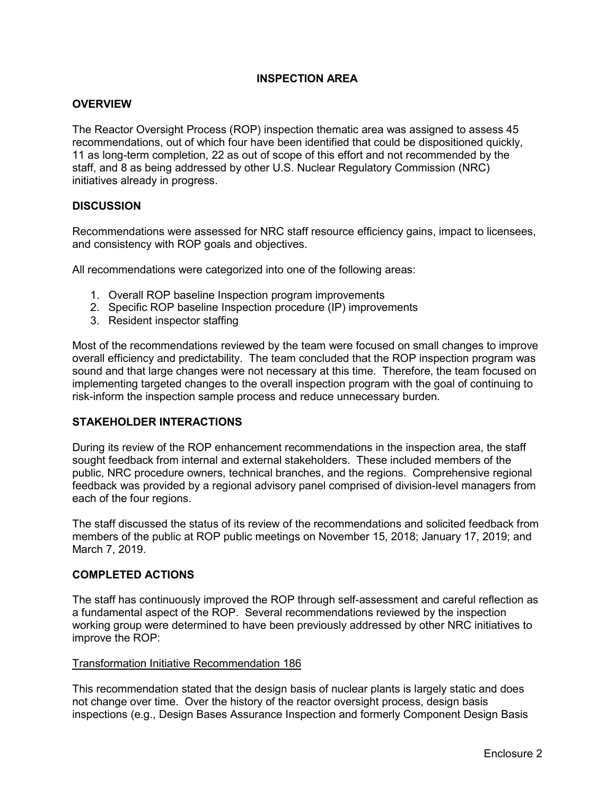## **INSPECTION AREA**

#### **OVERVIEW**

The Reactor Oversight Process (ROP) inspection thematic area was assigned to assess 45 recommendations, out of which four have been identified that could be dispositioned quickly, 11 as long-term completion, 22 as out of scope of this effort and not recommended by the staff, and 8 as being addressed by other U.S. Nuclear Regulatory Commission (NRC) initiatives already in progress.

#### **DISCUSSION**

Recommendations were assessed for NRC staff resource efficiency gains, impact to licensees, and consistency with ROP goals and objectives.

All recommendations were categorized into one of the following areas:

- 1. Overall ROP baseline Inspection program improvements
- 2. Specific ROP baseline Inspection procedure (IP) improvements
- 3. Resident inspector staffing

Most of the recommendations reviewed by the team were focused on small changes to improve overall efficiency and predictability. The team concluded that the ROP inspection program was sound and that large changes were not necessary at this time. Therefore, the team focused on implementing targeted changes to the overall inspection program with the goal of continuing to risk-inform the inspection sample process and reduce unnecessary burden.

#### **STAKEHOLDER INTERACTIONS**

During its review of the ROP enhancement recommendations in the inspection area, the staff sought feedback from internal and external stakeholders. These included members of the public, NRC procedure owners, technical branches, and the regions. Comprehensive regional feedback was provided by a regional advisory panel comprised of division-level managers from each of the four regions.

The staff discussed the status of its review of the recommendations and solicited feedback from members of the public at ROP public meetings on November 15, 2018; January 17, 2019; and March 7, 2019.

#### **COMPLETED ACTIONS**

The staff has continuously improved the ROP through self-assessment and careful reflection as a fundamental aspect of the ROP. Several recommendations reviewed by the inspection working group were determined to have been previously addressed by other NRC initiatives to improve the ROP:

#### Transformation Initiative Recommendation 186

This recommendation stated that the design basis of nuclear plants is largely static and does not change over time. Over the history of the reactor oversight process, design basis inspections (e.g., Design Bases Assurance Inspection and formerly Component Design Basis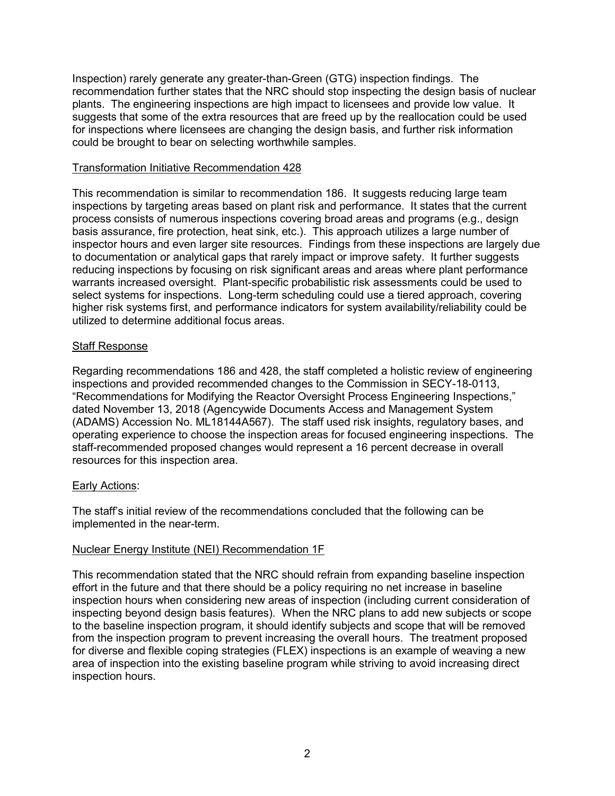Inspection) rarely generate any greater-than-Green (GTG) inspection findings. The recommendation further states that the NRC should stop inspecting the design basis of nuclear plants. The engineering inspections are high impact to licensees and provide low value. It suggests that some of the extra resources that are freed up by the reallocation could be used for inspections where licensees are changing the design basis, and further risk information could be brought to bear on selecting worthwhile samples.

#### Transformation Initiative Recommendation 428

This recommendation is similar to recommendation 186. It suggests reducing large team inspections by targeting areas based on plant risk and performance. It states that the current process consists of numerous inspections covering broad areas and programs (e.g., design basis assurance, fire protection, heat sink, etc.). This approach utilizes a large number of inspector hours and even larger site resources. Findings from these inspections are largely due to documentation or analytical gaps that rarely impact or improve safety. It further suggests reducing inspections by focusing on risk significant areas and areas where plant performance warrants increased oversight. Plant-specific probabilistic risk assessments could be used to select systems for inspections. Long-term scheduling could use a tiered approach, covering higher risk systems first, and performance indicators for system availability/reliability could be utilized to determine additional focus areas.

## Staff Response

Regarding recommendations 186 and 428, the staff completed a holistic review of engineering inspections and provided recommended changes to the Commission in SECY-18-0113, "Recommendations for Modifying the Reactor Oversight Process Engineering Inspections," dated November 13, 2018 (Agencywide Documents Access and Management System (ADAMS) Accession No. ML18144A567). The staff used risk insights, regulatory bases, and operating experience to choose the inspection areas for focused engineering inspections. The staff-recommended proposed changes would represent a 16 percent decrease in overall resources for this inspection area.

## Early Actions:

The staff's initial review of the recommendations concluded that the following can be implemented in the near-term.

## Nuclear Energy Institute (NEI) Recommendation 1F

This recommendation stated that the NRC should refrain from expanding baseline inspection effort in the future and that there should be a policy requiring no net increase in baseline inspection hours when considering new areas of inspection (including current consideration of inspecting beyond design basis features). When the NRC plans to add new subjects or scope to the baseline inspection program, it should identify subjects and scope that will be removed from the inspection program to prevent increasing the overall hours. The treatment proposed for diverse and flexible coping strategies (FLEX) inspections is an example of weaving a new area of inspection into the existing baseline program while striving to avoid increasing direct inspection hours.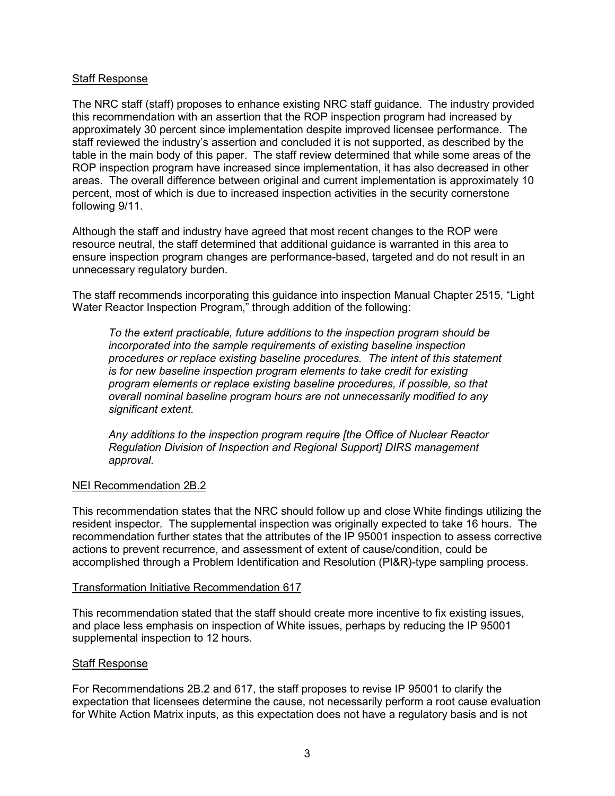#### Staff Response

The NRC staff (staff) proposes to enhance existing NRC staff guidance. The industry provided this recommendation with an assertion that the ROP inspection program had increased by approximately 30 percent since implementation despite improved licensee performance. The staff reviewed the industry's assertion and concluded it is not supported, as described by the table in the main body of this paper. The staff review determined that while some areas of the ROP inspection program have increased since implementation, it has also decreased in other areas. The overall difference between original and current implementation is approximately 10 percent, most of which is due to increased inspection activities in the security cornerstone following 9/11.

Although the staff and industry have agreed that most recent changes to the ROP were resource neutral, the staff determined that additional guidance is warranted in this area to ensure inspection program changes are performance-based, targeted and do not result in an unnecessary regulatory burden.

The staff recommends incorporating this guidance into inspection Manual Chapter 2515, "Light Water Reactor Inspection Program," through addition of the following:

*To the extent practicable, future additions to the inspection program should be incorporated into the sample requirements of existing baseline inspection procedures or replace existing baseline procedures. The intent of this statement is for new baseline inspection program elements to take credit for existing program elements or replace existing baseline procedures, if possible, so that overall nominal baseline program hours are not unnecessarily modified to any significant extent.*

*Any additions to the inspection program require [the Office of Nuclear Reactor Regulation Division of Inspection and Regional Support] DIRS management approval.*

#### NEI Recommendation 2B.2

This recommendation states that the NRC should follow up and close White findings utilizing the resident inspector. The supplemental inspection was originally expected to take 16 hours. The recommendation further states that the attributes of the IP 95001 inspection to assess corrective actions to prevent recurrence, and assessment of extent of cause/condition, could be accomplished through a Problem Identification and Resolution (PI&R)-type sampling process.

#### Transformation Initiative Recommendation 617

This recommendation stated that the staff should create more incentive to fix existing issues, and place less emphasis on inspection of White issues, perhaps by reducing the IP 95001 supplemental inspection to 12 hours.

#### Staff Response

For Recommendations 2B.2 and 617, the staff proposes to revise IP 95001 to clarify the expectation that licensees determine the cause, not necessarily perform a root cause evaluation for White Action Matrix inputs, as this expectation does not have a regulatory basis and is not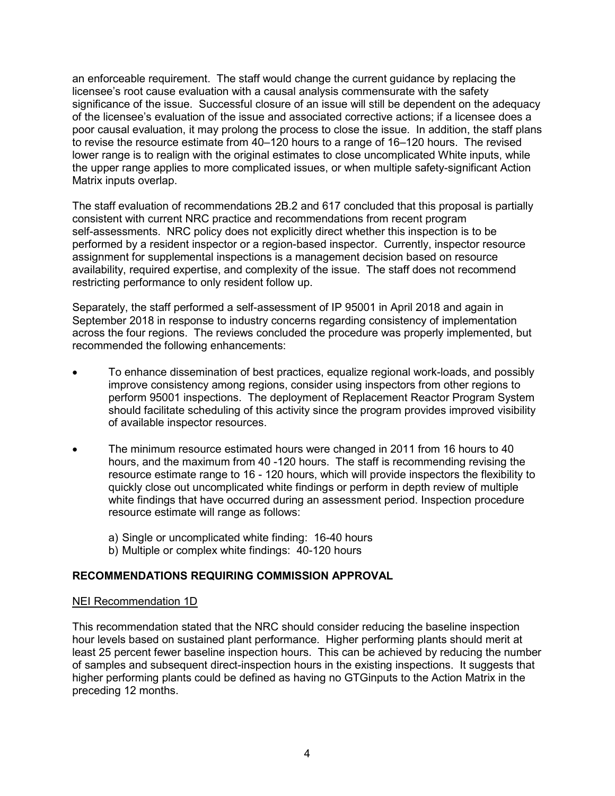an enforceable requirement. The staff would change the current guidance by replacing the licensee's root cause evaluation with a causal analysis commensurate with the safety significance of the issue. Successful closure of an issue will still be dependent on the adequacy of the licensee's evaluation of the issue and associated corrective actions; if a licensee does a poor causal evaluation, it may prolong the process to close the issue. In addition, the staff plans to revise the resource estimate from 40–120 hours to a range of 16–120 hours. The revised lower range is to realign with the original estimates to close uncomplicated White inputs, while the upper range applies to more complicated issues, or when multiple safety-significant Action Matrix inputs overlap.

The staff evaluation of recommendations 2B.2 and 617 concluded that this proposal is partially consistent with current NRC practice and recommendations from recent program self-assessments. NRC policy does not explicitly direct whether this inspection is to be performed by a resident inspector or a region-based inspector. Currently, inspector resource assignment for supplemental inspections is a management decision based on resource availability, required expertise, and complexity of the issue. The staff does not recommend restricting performance to only resident follow up.

Separately, the staff performed a self-assessment of IP 95001 in April 2018 and again in September 2018 in response to industry concerns regarding consistency of implementation across the four regions. The reviews concluded the procedure was properly implemented, but recommended the following enhancements:

- To enhance dissemination of best practices, equalize regional work-loads, and possibly improve consistency among regions, consider using inspectors from other regions to perform 95001 inspections. The deployment of Replacement Reactor Program System should facilitate scheduling of this activity since the program provides improved visibility of available inspector resources.
- The minimum resource estimated hours were changed in 2011 from 16 hours to 40 hours, and the maximum from 40 -120 hours. The staff is recommending revising the resource estimate range to 16 - 120 hours, which will provide inspectors the flexibility to quickly close out uncomplicated white findings or perform in depth review of multiple white findings that have occurred during an assessment period. Inspection procedure resource estimate will range as follows:
	- a) Single or uncomplicated white finding: 16-40 hours
	- b) Multiple or complex white findings: 40-120 hours

## **RECOMMENDATIONS REQUIRING COMMISSION APPROVAL**

#### NEI Recommendation 1D

This recommendation stated that the NRC should consider reducing the baseline inspection hour levels based on sustained plant performance. Higher performing plants should merit at least 25 percent fewer baseline inspection hours. This can be achieved by reducing the number of samples and subsequent direct-inspection hours in the existing inspections. It suggests that higher performing plants could be defined as having no GTGinputs to the Action Matrix in the preceding 12 months.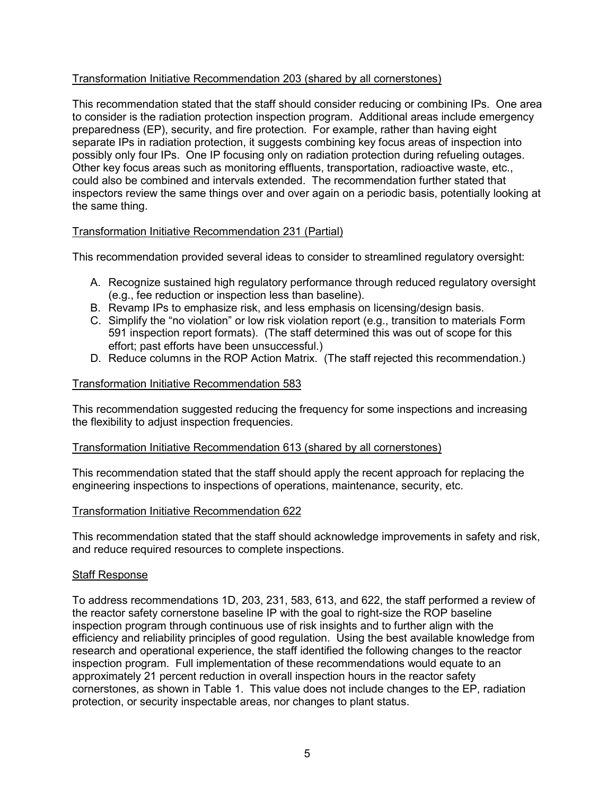## Transformation Initiative Recommendation 203 (shared by all cornerstones)

This recommendation stated that the staff should consider reducing or combining IPs. One area to consider is the radiation protection inspection program. Additional areas include emergency preparedness (EP), security, and fire protection. For example, rather than having eight separate IPs in radiation protection, it suggests combining key focus areas of inspection into possibly only four IPs. One IP focusing only on radiation protection during refueling outages. Other key focus areas such as monitoring effluents, transportation, radioactive waste, etc., could also be combined and intervals extended. The recommendation further stated that inspectors review the same things over and over again on a periodic basis, potentially looking at the same thing.

## Transformation Initiative Recommendation 231 (Partial)

This recommendation provided several ideas to consider to streamlined regulatory oversight:

- A. Recognize sustained high regulatory performance through reduced regulatory oversight (e.g., fee reduction or inspection less than baseline).
- B. Revamp IPs to emphasize risk, and less emphasis on licensing/design basis.
- C. Simplify the "no violation" or low risk violation report (e.g., transition to materials Form 591 inspection report formats). (The staff determined this was out of scope for this effort; past efforts have been unsuccessful.)
- D. Reduce columns in the ROP Action Matrix. (The staff rejected this recommendation.)

## Transformation Initiative Recommendation 583

This recommendation suggested reducing the frequency for some inspections and increasing the flexibility to adjust inspection frequencies.

## Transformation Initiative Recommendation 613 (shared by all cornerstones)

This recommendation stated that the staff should apply the recent approach for replacing the engineering inspections to inspections of operations, maintenance, security, etc.

## Transformation Initiative Recommendation 622

This recommendation stated that the staff should acknowledge improvements in safety and risk, and reduce required resources to complete inspections.

## Staff Response

To address recommendations 1D, 203, 231, 583, 613, and 622, the staff performed a review of the reactor safety cornerstone baseline IP with the goal to right-size the ROP baseline inspection program through continuous use of risk insights and to further align with the efficiency and reliability principles of good regulation. Using the best available knowledge from research and operational experience, the staff identified the following changes to the reactor inspection program. Full implementation of these recommendations would equate to an approximately 21 percent reduction in overall inspection hours in the reactor safety cornerstones, as shown in Table 1. This value does not include changes to the EP, radiation protection, or security inspectable areas, nor changes to plant status.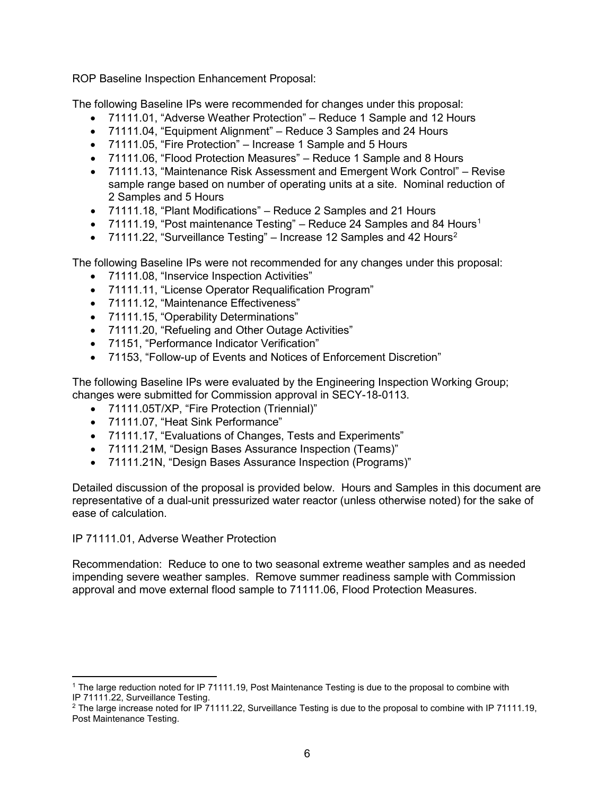ROP Baseline Inspection Enhancement Proposal:

The following Baseline IPs were recommended for changes under this proposal:

- 71111.01, "Adverse Weather Protection" Reduce 1 Sample and 12 Hours
- 71111.04, "Equipment Alignment" Reduce 3 Samples and 24 Hours
- 71111.05, "Fire Protection" Increase 1 Sample and 5 Hours
- 71111.06, "Flood Protection Measures" Reduce 1 Sample and 8 Hours
- 71111.13, "Maintenance Risk Assessment and Emergent Work Control" Revise sample range based on number of operating units at a site. Nominal reduction of 2 Samples and 5 Hours
- 71111.18, "Plant Modifications" Reduce 2 Samples and 21 Hours
- 71111.19, "Post maintenance Testing" Reduce 24 Samples and 84 Hours<sup>1</sup>
- 71111.[2](#page-5-1)2, "Surveillance Testing" Increase 12 Samples and 42 Hours<sup>2</sup>

The following Baseline IPs were not recommended for any changes under this proposal:

- 71111.08, "Inservice Inspection Activities"
- 71111.11, "License Operator Requalification Program"
- 71111.12, "Maintenance Effectiveness"
- 71111.15, "Operability Determinations"
- 71111.20, "Refueling and Other Outage Activities"
- 71151, "Performance Indicator Verification"
- 71153, "Follow-up of Events and Notices of Enforcement Discretion"

The following Baseline IPs were evaluated by the Engineering Inspection Working Group; changes were submitted for Commission approval in SECY-18-0113.

- 71111.05T/XP, "Fire Protection (Triennial)"
- 71111.07, "Heat Sink Performance"
- 71111.17, "Evaluations of Changes, Tests and Experiments"
- 71111.21M, "Design Bases Assurance Inspection (Teams)"
- 71111.21N, "Design Bases Assurance Inspection (Programs)"

Detailed discussion of the proposal is provided below. Hours and Samples in this document are representative of a dual-unit pressurized water reactor (unless otherwise noted) for the sake of ease of calculation.

## IP 71111.01, Adverse Weather Protection

 $\overline{\phantom{a}}$ 

Recommendation: Reduce to one to two seasonal extreme weather samples and as needed impending severe weather samples. Remove summer readiness sample with Commission approval and move external flood sample to 71111.06, Flood Protection Measures.

<span id="page-5-0"></span><sup>&</sup>lt;sup>1</sup> The large reduction noted for IP 71111.19, Post Maintenance Testing is due to the proposal to combine with IP 71111.22, Surveillance Testing.

<span id="page-5-1"></span><sup>2</sup> The large increase noted for IP 71111.22, Surveillance Testing is due to the proposal to combine with IP 71111.19, Post Maintenance Testing.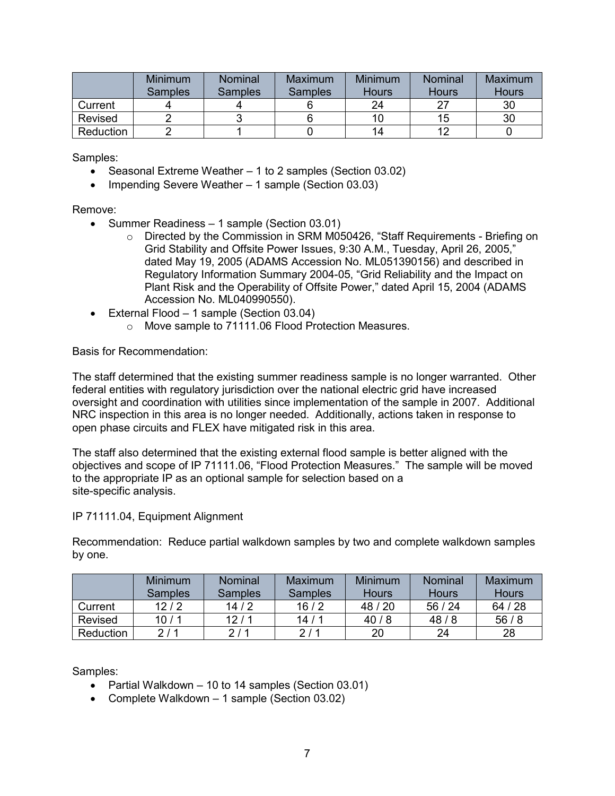|                  | Minimum<br>Samples | Nominal<br><b>Samples</b> | Maximum<br><b>Samples</b> | <b>Minimum</b><br><b>Hours</b> | <b>Nominal</b><br><b>Hours</b> | Maximum<br><b>Hours</b> |
|------------------|--------------------|---------------------------|---------------------------|--------------------------------|--------------------------------|-------------------------|
| Current          |                    |                           |                           | 24                             |                                | 30                      |
| Revised          |                    |                           |                           | 10                             | 15                             | 30                      |
| <b>Reduction</b> |                    |                           |                           | 14                             |                                |                         |

Samples:

- Seasonal Extreme Weather 1 to 2 samples (Section 03.02)
- Impending Severe Weather 1 sample (Section 03.03)

Remove:

- Summer Readiness 1 sample (Section 03.01)
	- $\circ$  Directed by the Commission in SRM M050426, "Staff Requirements Briefing on Grid Stability and Offsite Power Issues, 9:30 A.M., Tuesday, April 26, 2005," dated May 19, 2005 (ADAMS Accession No. ML051390156) and described in Regulatory Information Summary 2004-05, "Grid Reliability and the Impact on Plant Risk and the Operability of Offsite Power," dated April 15, 2004 (ADAMS Accession No. ML040990550).
- External Flood 1 sample (Section 03.04)
	- o Move sample to 71111.06 Flood Protection Measures.

Basis for Recommendation:

The staff determined that the existing summer readiness sample is no longer warranted. Other federal entities with regulatory jurisdiction over the national electric grid have increased oversight and coordination with utilities since implementation of the sample in 2007. Additional NRC inspection in this area is no longer needed. Additionally, actions taken in response to open phase circuits and FLEX have mitigated risk in this area.

The staff also determined that the existing external flood sample is better aligned with the objectives and scope of IP 71111.06, "Flood Protection Measures." The sample will be moved to the appropriate IP as an optional sample for selection based on a site-specific analysis.

## IP 71111.04, Equipment Alignment

Recommendation: Reduce partial walkdown samples by two and complete walkdown samples by one.

|           | <b>Minimum</b><br><b>Samples</b> | <b>Nominal</b><br><b>Samples</b> | Maximum<br><b>Samples</b> | Minimum<br><b>Hours</b> | <b>Nominal</b><br><b>Hours</b> | Maximum<br><b>Hours</b> |
|-----------|----------------------------------|----------------------------------|---------------------------|-------------------------|--------------------------------|-------------------------|
| Current   | 12/2                             | 14/2                             | 16/2                      | 48/20                   | 56/24                          | 64/28                   |
| Revised   | 10/1                             | 12/1                             | 14/1                      | 40/8                    | 48/8                           | 56/8                    |
| Reduction | 2/1                              | 2/1                              | 2/1                       | 20                      | 24                             | 28                      |

Samples:

- Partial Walkdown 10 to 14 samples (Section 03.01)
- Complete Walkdown 1 sample (Section 03.02)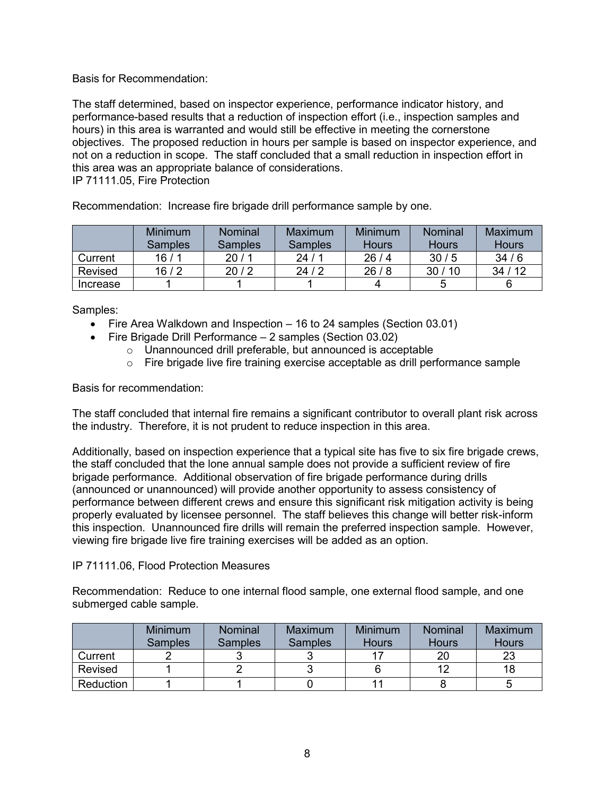Basis for Recommendation:

The staff determined, based on inspector experience, performance indicator history, and performance-based results that a reduction of inspection effort (i.e., inspection samples and hours) in this area is warranted and would still be effective in meeting the cornerstone objectives. The proposed reduction in hours per sample is based on inspector experience, and not on a reduction in scope. The staff concluded that a small reduction in inspection effort in this area was an appropriate balance of considerations. IP 71111.05, Fire Protection

Recommendation: Increase fire brigade drill performance sample by one.

|          | Minimum<br><b>Samples</b> | Nominal<br><b>Samples</b> | Maximum<br><b>Samples</b> | Minimum<br><b>Hours</b> | <b>Nominal</b><br><b>Hours</b> | Maximum<br><b>Hours</b> |
|----------|---------------------------|---------------------------|---------------------------|-------------------------|--------------------------------|-------------------------|
| Current  | 16 / 1                    | 20/1                      | 24/1                      | 26/4                    | 30/5                           | 34/6                    |
| Revised  | 16/2                      | 20/2                      | 24/2                      | 26/8                    | 30/10                          | 34/12                   |
| Increase |                           |                           |                           |                         |                                |                         |

Samples:

- Fire Area Walkdown and Inspection 16 to 24 samples (Section 03.01)
- Fire Brigade Drill Performance 2 samples (Section 03.02)
	- $\circ$  Unannounced drill preferable, but announced is acceptable
	- $\circ$  Fire brigade live fire training exercise acceptable as drill performance sample

Basis for recommendation:

The staff concluded that internal fire remains a significant contributor to overall plant risk across the industry. Therefore, it is not prudent to reduce inspection in this area.

Additionally, based on inspection experience that a typical site has five to six fire brigade crews, the staff concluded that the lone annual sample does not provide a sufficient review of fire brigade performance. Additional observation of fire brigade performance during drills (announced or unannounced) will provide another opportunity to assess consistency of performance between different crews and ensure this significant risk mitigation activity is being properly evaluated by licensee personnel. The staff believes this change will better risk-inform this inspection. Unannounced fire drills will remain the preferred inspection sample. However, viewing fire brigade live fire training exercises will be added as an option.

#### IP 71111.06, Flood Protection Measures

Recommendation: Reduce to one internal flood sample, one external flood sample, and one submerged cable sample.

|                  | <b>Minimum</b><br><b>Samples</b> | <b>Nominal</b><br><b>Samples</b> | Maximum<br><b>Samples</b> | Minimum<br><b>Hours</b> | <b>Nominal</b><br><b>Hours</b> | Maximum<br><b>Hours</b> |
|------------------|----------------------------------|----------------------------------|---------------------------|-------------------------|--------------------------------|-------------------------|
| Current          |                                  |                                  |                           |                         | 20                             | つつ                      |
| Revised          |                                  |                                  |                           |                         |                                | 18                      |
| <b>Reduction</b> |                                  |                                  |                           |                         |                                |                         |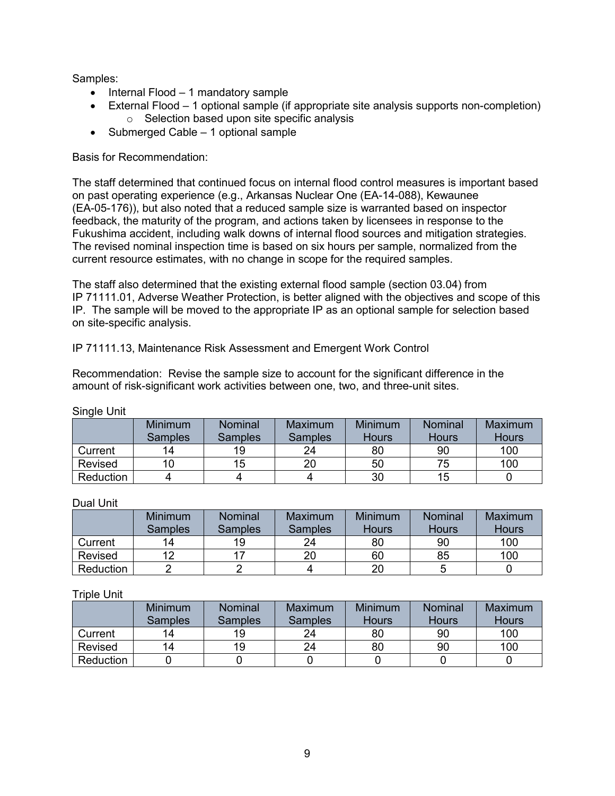Samples:

- Internal Flood 1 mandatory sample
- External Flood 1 optional sample (if appropriate site analysis supports non-completion) o Selection based upon site specific analysis
- Submerged Cable 1 optional sample

## Basis for Recommendation:

The staff determined that continued focus on internal flood control measures is important based on past operating experience (e.g., Arkansas Nuclear One (EA-14-088), Kewaunee (EA-05-176)), but also noted that a reduced sample size is warranted based on inspector feedback, the maturity of the program, and actions taken by licensees in response to the Fukushima accident, including walk downs of internal flood sources and mitigation strategies. The revised nominal inspection time is based on six hours per sample, normalized from the current resource estimates, with no change in scope for the required samples.

The staff also determined that the existing external flood sample (section 03.04) from IP 71111.01, Adverse Weather Protection, is better aligned with the objectives and scope of this IP. The sample will be moved to the appropriate IP as an optional sample for selection based on site-specific analysis.

## IP 71111.13, Maintenance Risk Assessment and Emergent Work Control

Recommendation: Revise the sample size to account for the significant difference in the amount of risk-significant work activities between one, two, and three-unit sites.

| "         | <b>Minimum</b><br><b>Samples</b> | Nominal<br><b>Samples</b> | Maximum<br><b>Samples</b> | <b>Minimum</b><br><b>Hours</b> | <b>Nominal</b><br><b>Hours</b> | Maximum<br><b>Hours</b> |
|-----------|----------------------------------|---------------------------|---------------------------|--------------------------------|--------------------------------|-------------------------|
| Current   | 14                               | 19                        | 24                        | 80                             | 90                             | 100                     |
| Revised   | 10                               | 15                        | 20                        | 50                             | 75                             | 100                     |
| Reduction |                                  |                           |                           | 30                             | 15                             |                         |

Single Unit

#### Dual Unit

|                  | <b>Minimum</b><br><b>Samples</b> | <b>Nominal</b><br>Samples | Maximum<br>Samples | Minimum<br><b>Hours</b> | <b>Nominal</b><br><b>Hours</b> | Maximum<br><b>Hours</b> |
|------------------|----------------------------------|---------------------------|--------------------|-------------------------|--------------------------------|-------------------------|
| Current          | 14                               | 19                        | 24                 | 80                      | 90                             | 100                     |
| Revised          |                                  |                           | 20                 | 60                      | 85                             | 100                     |
| <b>Reduction</b> |                                  |                           |                    | 20                      |                                |                         |

## Triple Unit

|                  | Minimum        | Nominal        | Maximum        | <b>Minimum</b> | <b>Nominal</b> | Maximum      |
|------------------|----------------|----------------|----------------|----------------|----------------|--------------|
|                  | <b>Samples</b> | <b>Samples</b> | <b>Samples</b> | <b>Hours</b>   | <b>Hours</b>   | <b>Hours</b> |
| Current          | 14             | 19             | 24             | 80             | 90             | 100          |
| Revised          | 14             | 19             | 24             | 80             | 90             | 100          |
| <b>Reduction</b> |                |                |                |                |                |              |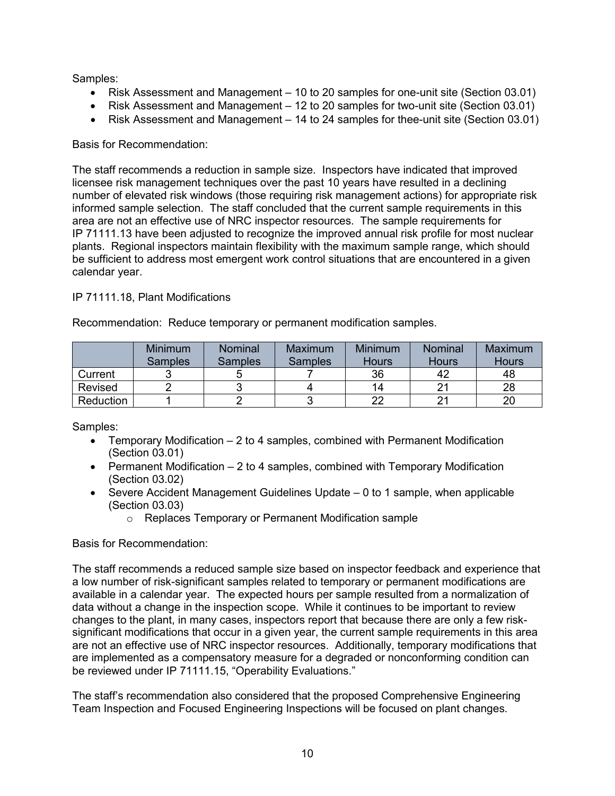Samples:

- Risk Assessment and Management 10 to 20 samples for one-unit site (Section 03.01)
- Risk Assessment and Management 12 to 20 samples for two-unit site (Section 03.01)
- Risk Assessment and Management 14 to 24 samples for thee-unit site (Section 03.01)

## Basis for Recommendation:

The staff recommends a reduction in sample size. Inspectors have indicated that improved licensee risk management techniques over the past 10 years have resulted in a declining number of elevated risk windows (those requiring risk management actions) for appropriate risk informed sample selection. The staff concluded that the current sample requirements in this area are not an effective use of NRC inspector resources. The sample requirements for IP 71111.13 have been adjusted to recognize the improved annual risk profile for most nuclear plants. Regional inspectors maintain flexibility with the maximum sample range, which should be sufficient to address most emergent work control situations that are encountered in a given calendar year.

## IP 71111.18, Plant Modifications

|                  | <b>Minimum</b><br><b>Samples</b> | <b>Nominal</b><br><b>Samples</b> | Maximum<br><b>Samples</b> | <b>Minimum</b><br><b>Hours</b> | <b>Nominal</b><br><b>Hours</b> | Maximum<br>Hours |
|------------------|----------------------------------|----------------------------------|---------------------------|--------------------------------|--------------------------------|------------------|
| Current          |                                  |                                  |                           | 36                             |                                | 48               |
| Revised          |                                  |                                  |                           | 14                             |                                | 28               |
| <b>Reduction</b> |                                  |                                  |                           | າງ                             |                                | 20               |

Recommendation: Reduce temporary or permanent modification samples.

Samples:

- Temporary Modification 2 to 4 samples, combined with Permanent Modification (Section 03.01)
- Permanent Modification 2 to 4 samples, combined with Temporary Modification (Section 03.02)
- Severe Accident Management Guidelines Update 0 to 1 sample, when applicable (Section 03.03)
	- o Replaces Temporary or Permanent Modification sample

## Basis for Recommendation:

The staff recommends a reduced sample size based on inspector feedback and experience that a low number of risk-significant samples related to temporary or permanent modifications are available in a calendar year. The expected hours per sample resulted from a normalization of data without a change in the inspection scope. While it continues to be important to review changes to the plant, in many cases, inspectors report that because there are only a few risksignificant modifications that occur in a given year, the current sample requirements in this area are not an effective use of NRC inspector resources. Additionally, temporary modifications that are implemented as a compensatory measure for a degraded or nonconforming condition can be reviewed under IP 71111.15, "Operability Evaluations."

The staff's recommendation also considered that the proposed Comprehensive Engineering Team Inspection and Focused Engineering Inspections will be focused on plant changes.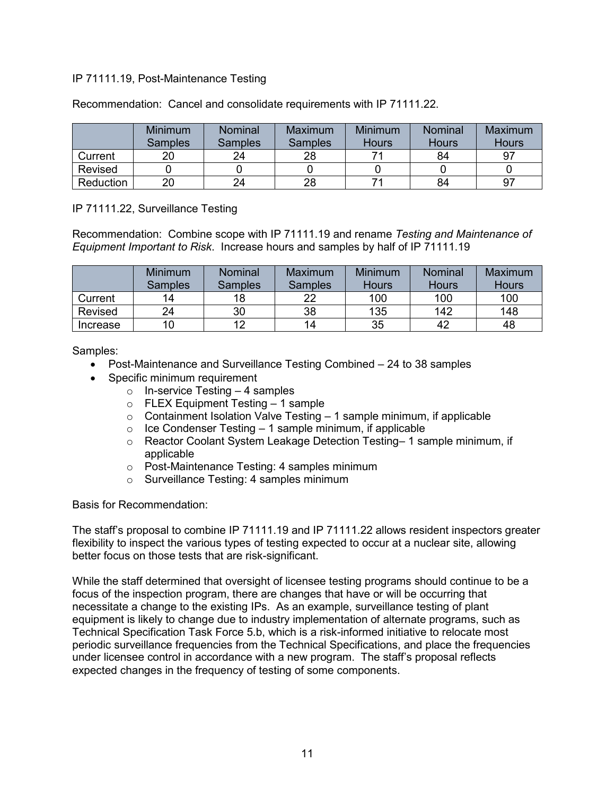## IP 71111.19, Post-Maintenance Testing

|           | Minimum<br>Samples | Nominal<br><b>Samples</b> | Maximum<br><b>Samples</b> | Minimum<br><b>Hours</b> | <b>Nominal</b><br><b>Hours</b> | Maximum<br>Hours |
|-----------|--------------------|---------------------------|---------------------------|-------------------------|--------------------------------|------------------|
| Current   |                    | 24                        | 28                        |                         | 84                             | 97               |
| Revised   |                    |                           |                           |                         |                                |                  |
| Reduction | 20                 | 24                        | 28                        |                         | 84                             | 97               |

Recommendation: Cancel and consolidate requirements with IP 71111.22.

IP 71111.22, Surveillance Testing

Recommendation: Combine scope with IP 71111.19 and rename *Testing and Maintenance of Equipment Important to Risk*. Increase hours and samples by half of IP 71111.19

|                | Minimum<br><b>Samples</b> | Nominal<br><b>Samples</b> | Maximum<br>Samples | <b>Minimum</b><br><b>Hours</b> | <b>Nominal</b><br>Hours | Maximum<br><b>Hours</b> |
|----------------|---------------------------|---------------------------|--------------------|--------------------------------|-------------------------|-------------------------|
| Current        | 14                        | 18                        | 22                 | 100                            | 100                     | 100                     |
| <b>Revised</b> | 24                        | 30                        | 38                 | 135                            | 142                     | 148                     |
| Increase       | 10                        | 12                        | 14                 | 35                             |                         | 48                      |

Samples:

- Post-Maintenance and Surveillance Testing Combined 24 to 38 samples
- Specific minimum requirement
	- $\circ$  In-service Testing 4 samples
	- o FLEX Equipment Testing 1 sample
	- $\circ$  Containment Isolation Valve Testing 1 sample minimum, if applicable
	- $\circ$  Ice Condenser Testing 1 sample minimum, if applicable
	- $\circ$  Reactor Coolant System Leakage Detection Testing– 1 sample minimum, if applicable
	- o Post-Maintenance Testing: 4 samples minimum
	- o Surveillance Testing: 4 samples minimum

Basis for Recommendation:

The staff's proposal to combine IP 71111.19 and IP 71111.22 allows resident inspectors greater flexibility to inspect the various types of testing expected to occur at a nuclear site, allowing better focus on those tests that are risk-significant.

While the staff determined that oversight of licensee testing programs should continue to be a focus of the inspection program, there are changes that have or will be occurring that necessitate a change to the existing IPs. As an example, surveillance testing of plant equipment is likely to change due to industry implementation of alternate programs, such as Technical Specification Task Force 5.b, which is a risk-informed initiative to relocate most periodic surveillance frequencies from the Technical Specifications, and place the frequencies under licensee control in accordance with a new program. The staff's proposal reflects expected changes in the frequency of testing of some components.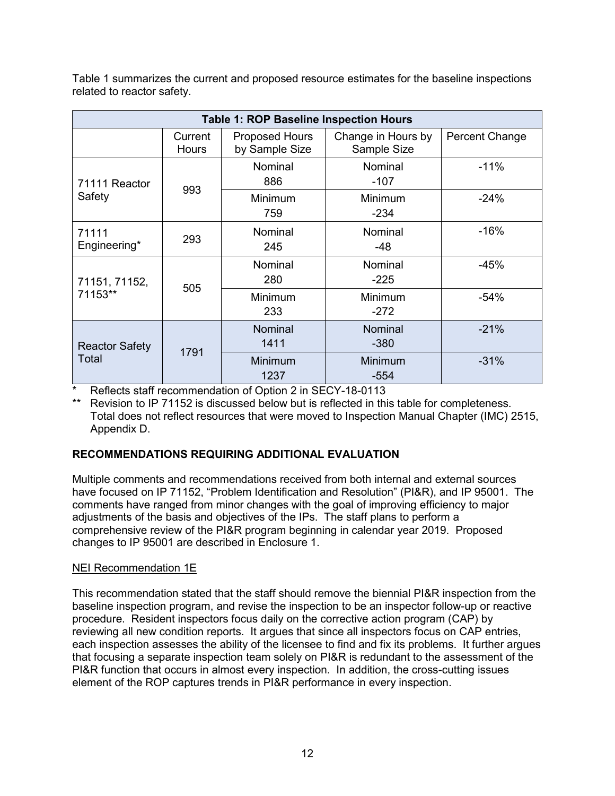Table 1 summarizes the current and proposed resource estimates for the baseline inspections related to reactor safety.

|                       | <b>Table 1: ROP Baseline Inspection Hours</b> |                                         |                                   |                |  |  |  |  |
|-----------------------|-----------------------------------------------|-----------------------------------------|-----------------------------------|----------------|--|--|--|--|
|                       | Current<br><b>Hours</b>                       | <b>Proposed Hours</b><br>by Sample Size | Change in Hours by<br>Sample Size | Percent Change |  |  |  |  |
| 71111 Reactor         |                                               | Nominal<br>886                          | Nominal<br>$-107$                 | $-11%$         |  |  |  |  |
| Safety                | 993                                           | Minimum<br>759                          | Minimum<br>$-234$                 | $-24%$         |  |  |  |  |
| 71111<br>Engineering* | 293                                           | Nominal<br>245                          | Nominal<br>-48                    | $-16%$         |  |  |  |  |
| 71151, 71152,         | 505                                           | Nominal<br>280                          | Nominal<br>$-225$                 | $-45%$         |  |  |  |  |
| 71153**               |                                               | Minimum<br>233                          | Minimum<br>$-272$                 | $-54%$         |  |  |  |  |
| <b>Reactor Safety</b> | 1791                                          | Nominal<br>1411                         | <b>Nominal</b><br>$-380$          | $-21%$         |  |  |  |  |
| Total                 |                                               | Minimum<br>1237                         | Minimum<br>-554                   | $-31%$         |  |  |  |  |

Reflects staff recommendation of Option 2 in SECY-18-0113

\*\* Revision to IP 71152 is discussed below but is reflected in this table for completeness. Total does not reflect resources that were moved to Inspection Manual Chapter (IMC) 2515, Appendix D.

# **RECOMMENDATIONS REQUIRING ADDITIONAL EVALUATION**

Multiple comments and recommendations received from both internal and external sources have focused on IP 71152, "Problem Identification and Resolution" (PI&R), and IP 95001. The comments have ranged from minor changes with the goal of improving efficiency to major adjustments of the basis and objectives of the IPs. The staff plans to perform a comprehensive review of the PI&R program beginning in calendar year 2019. Proposed changes to IP 95001 are described in Enclosure 1.

## NEI Recommendation 1E

This recommendation stated that the staff should remove the biennial PI&R inspection from the baseline inspection program, and revise the inspection to be an inspector follow-up or reactive procedure. Resident inspectors focus daily on the corrective action program (CAP) by reviewing all new condition reports. It argues that since all inspectors focus on CAP entries, each inspection assesses the ability of the licensee to find and fix its problems. It further argues that focusing a separate inspection team solely on PI&R is redundant to the assessment of the PI&R function that occurs in almost every inspection. In addition, the cross-cutting issues element of the ROP captures trends in PI&R performance in every inspection.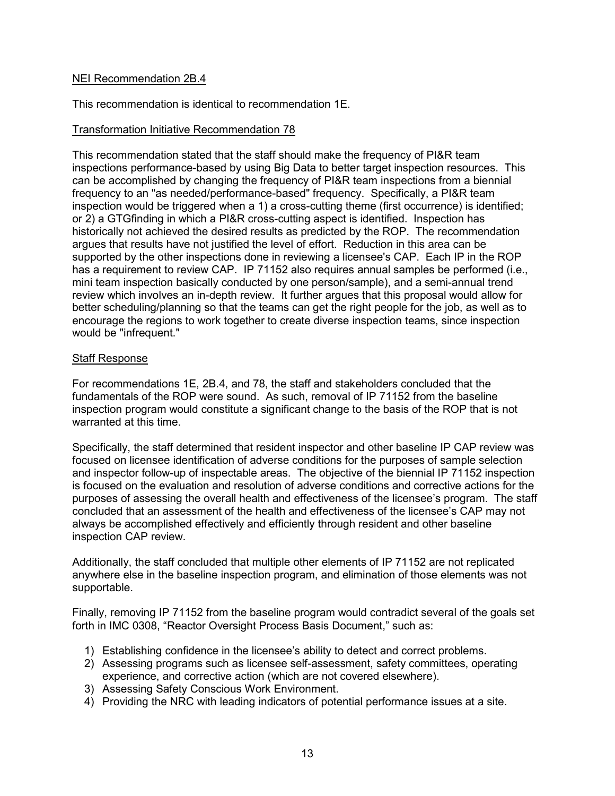#### NEI Recommendation 2B.4

This recommendation is identical to recommendation 1E.

## Transformation Initiative Recommendation 78

This recommendation stated that the staff should make the frequency of PI&R team inspections performance-based by using Big Data to better target inspection resources. This can be accomplished by changing the frequency of PI&R team inspections from a biennial frequency to an "as needed/performance-based" frequency. Specifically, a PI&R team inspection would be triggered when a 1) a cross-cutting theme (first occurrence) is identified; or 2) a GTGfinding in which a PI&R cross-cutting aspect is identified. Inspection has historically not achieved the desired results as predicted by the ROP. The recommendation argues that results have not justified the level of effort. Reduction in this area can be supported by the other inspections done in reviewing a licensee's CAP. Each IP in the ROP has a requirement to review CAP. IP 71152 also requires annual samples be performed (i.e., mini team inspection basically conducted by one person/sample), and a semi-annual trend review which involves an in-depth review. It further argues that this proposal would allow for better scheduling/planning so that the teams can get the right people for the job, as well as to encourage the regions to work together to create diverse inspection teams, since inspection would be "infrequent."

#### **Staff Response**

For recommendations 1E, 2B.4, and 78, the staff and stakeholders concluded that the fundamentals of the ROP were sound. As such, removal of IP 71152 from the baseline inspection program would constitute a significant change to the basis of the ROP that is not warranted at this time.

Specifically, the staff determined that resident inspector and other baseline IP CAP review was focused on licensee identification of adverse conditions for the purposes of sample selection and inspector follow-up of inspectable areas. The objective of the biennial IP 71152 inspection is focused on the evaluation and resolution of adverse conditions and corrective actions for the purposes of assessing the overall health and effectiveness of the licensee's program. The staff concluded that an assessment of the health and effectiveness of the licensee's CAP may not always be accomplished effectively and efficiently through resident and other baseline inspection CAP review.

Additionally, the staff concluded that multiple other elements of IP 71152 are not replicated anywhere else in the baseline inspection program, and elimination of those elements was not supportable.

Finally, removing IP 71152 from the baseline program would contradict several of the goals set forth in IMC 0308, "Reactor Oversight Process Basis Document," such as:

- 1) Establishing confidence in the licensee's ability to detect and correct problems.
- 2) Assessing programs such as licensee self-assessment, safety committees, operating experience, and corrective action (which are not covered elsewhere).
- 3) Assessing Safety Conscious Work Environment.
- 4) Providing the NRC with leading indicators of potential performance issues at a site.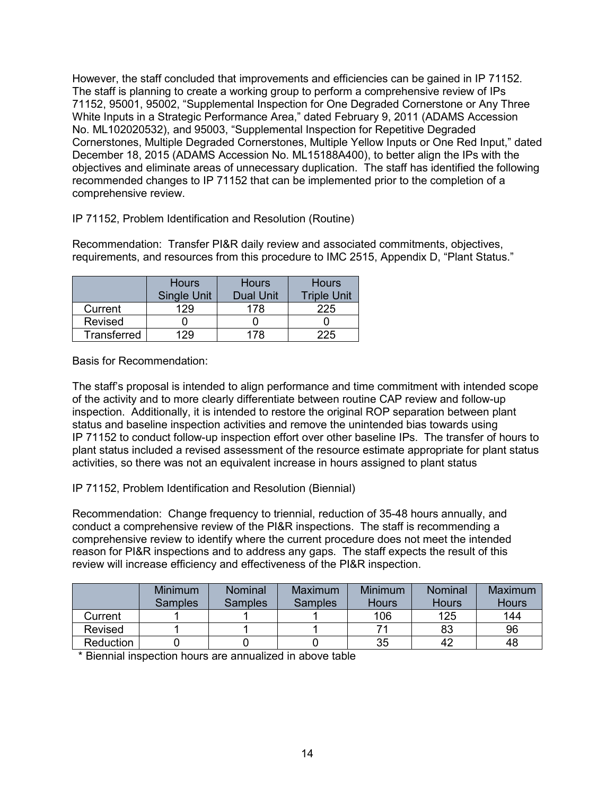However, the staff concluded that improvements and efficiencies can be gained in IP 71152. The staff is planning to create a working group to perform a comprehensive review of IPs 71152, 95001, 95002, "Supplemental Inspection for One Degraded Cornerstone or Any Three White Inputs in a Strategic Performance Area," dated February 9, 2011 (ADAMS Accession No. ML102020532), and 95003, "Supplemental Inspection for Repetitive Degraded Cornerstones, Multiple Degraded Cornerstones, Multiple Yellow Inputs or One Red Input," dated December 18, 2015 (ADAMS Accession No. ML15188A400), to better align the IPs with the objectives and eliminate areas of unnecessary duplication. The staff has identified the following recommended changes to IP 71152 that can be implemented prior to the completion of a comprehensive review.

IP 71152, Problem Identification and Resolution (Routine)

Recommendation: Transfer PI&R daily review and associated commitments, objectives, requirements, and resources from this procedure to IMC 2515, Appendix D, "Plant Status."

|             | <b>Hours</b><br>Single Unit | <b>Hours</b><br><b>Dual Unit</b> | <b>Hours</b><br><b>Triple Unit</b> |
|-------------|-----------------------------|----------------------------------|------------------------------------|
| Current     | 129                         | 178                              | 225                                |
| Revised     |                             |                                  |                                    |
| Transferred | 129                         | 178                              | 225                                |

Basis for Recommendation:

The staff's proposal is intended to align performance and time commitment with intended scope of the activity and to more clearly differentiate between routine CAP review and follow-up inspection. Additionally, it is intended to restore the original ROP separation between plant status and baseline inspection activities and remove the unintended bias towards using IP 71152 to conduct follow-up inspection effort over other baseline IPs. The transfer of hours to plant status included a revised assessment of the resource estimate appropriate for plant status activities, so there was not an equivalent increase in hours assigned to plant status

IP 71152, Problem Identification and Resolution (Biennial)

Recommendation: Change frequency to triennial, reduction of 35-48 hours annually, and conduct a comprehensive review of the PI&R inspections. The staff is recommending a comprehensive review to identify where the current procedure does not meet the intended reason for PI&R inspections and to address any gaps. The staff expects the result of this review will increase efficiency and effectiveness of the PI&R inspection.

|           | <b>Minimum</b><br><b>Samples</b> | Nominal<br>Samples | Maximum<br><b>Samples</b> | Minimum<br><b>Hours</b> | Nominal<br><b>Hours</b> | Maximum<br><b>Hours</b> |
|-----------|----------------------------------|--------------------|---------------------------|-------------------------|-------------------------|-------------------------|
| Current   |                                  |                    |                           | 106                     | 125                     | 144                     |
| Revised   |                                  |                    |                           |                         | 83                      | 96                      |
| Reduction |                                  |                    |                           | 35                      | 42                      | 48                      |

\* Biennial inspection hours are annualized in above table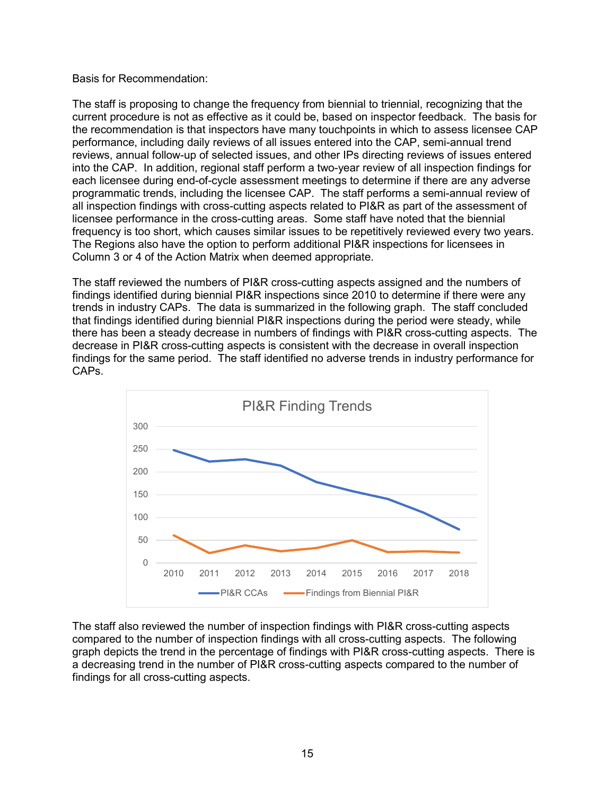#### Basis for Recommendation:

The staff is proposing to change the frequency from biennial to triennial, recognizing that the current procedure is not as effective as it could be, based on inspector feedback. The basis for the recommendation is that inspectors have many touchpoints in which to assess licensee CAP performance, including daily reviews of all issues entered into the CAP, semi-annual trend reviews, annual follow-up of selected issues, and other IPs directing reviews of issues entered into the CAP. In addition, regional staff perform a two-year review of all inspection findings for each licensee during end-of-cycle assessment meetings to determine if there are any adverse programmatic trends, including the licensee CAP. The staff performs a semi-annual review of all inspection findings with cross-cutting aspects related to PI&R as part of the assessment of licensee performance in the cross-cutting areas. Some staff have noted that the biennial frequency is too short, which causes similar issues to be repetitively reviewed every two years. The Regions also have the option to perform additional PI&R inspections for licensees in Column 3 or 4 of the Action Matrix when deemed appropriate.

The staff reviewed the numbers of PI&R cross-cutting aspects assigned and the numbers of findings identified during biennial PI&R inspections since 2010 to determine if there were any trends in industry CAPs. The data is summarized in the following graph. The staff concluded that findings identified during biennial PI&R inspections during the period were steady, while there has been a steady decrease in numbers of findings with PI&R cross-cutting aspects. The decrease in PI&R cross-cutting aspects is consistent with the decrease in overall inspection findings for the same period. The staff identified no adverse trends in industry performance for CAPs.



The staff also reviewed the number of inspection findings with PI&R cross-cutting aspects compared to the number of inspection findings with all cross-cutting aspects. The following graph depicts the trend in the percentage of findings with PI&R cross-cutting aspects. There is a decreasing trend in the number of PI&R cross-cutting aspects compared to the number of findings for all cross-cutting aspects.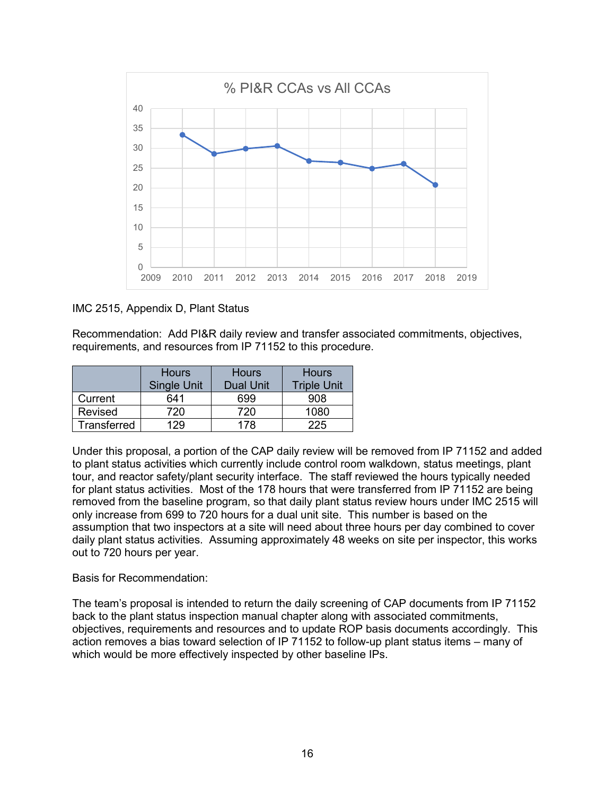

## IMC 2515, Appendix D, Plant Status

Recommendation: Add PI&R daily review and transfer associated commitments, objectives, requirements, and resources from IP 71152 to this procedure.

|             | <b>Hours</b>       | <b>Hours</b>     | <b>Hours</b>       |
|-------------|--------------------|------------------|--------------------|
|             | <b>Single Unit</b> | <b>Dual Unit</b> | <b>Triple Unit</b> |
| Current     | 641                | 699              | 908                |
| Revised     | 720                | 720.             | 1080               |
| Transferred | 29                 | 178              | 225                |

Under this proposal, a portion of the CAP daily review will be removed from IP 71152 and added to plant status activities which currently include control room walkdown, status meetings, plant tour, and reactor safety/plant security interface. The staff reviewed the hours typically needed for plant status activities. Most of the 178 hours that were transferred from IP 71152 are being removed from the baseline program, so that daily plant status review hours under IMC 2515 will only increase from 699 to 720 hours for a dual unit site. This number is based on the assumption that two inspectors at a site will need about three hours per day combined to cover daily plant status activities. Assuming approximately 48 weeks on site per inspector, this works out to 720 hours per year.

Basis for Recommendation:

The team's proposal is intended to return the daily screening of CAP documents from IP 71152 back to the plant status inspection manual chapter along with associated commitments, objectives, requirements and resources and to update ROP basis documents accordingly. This action removes a bias toward selection of IP 71152 to follow-up plant status items – many of which would be more effectively inspected by other baseline IPs.